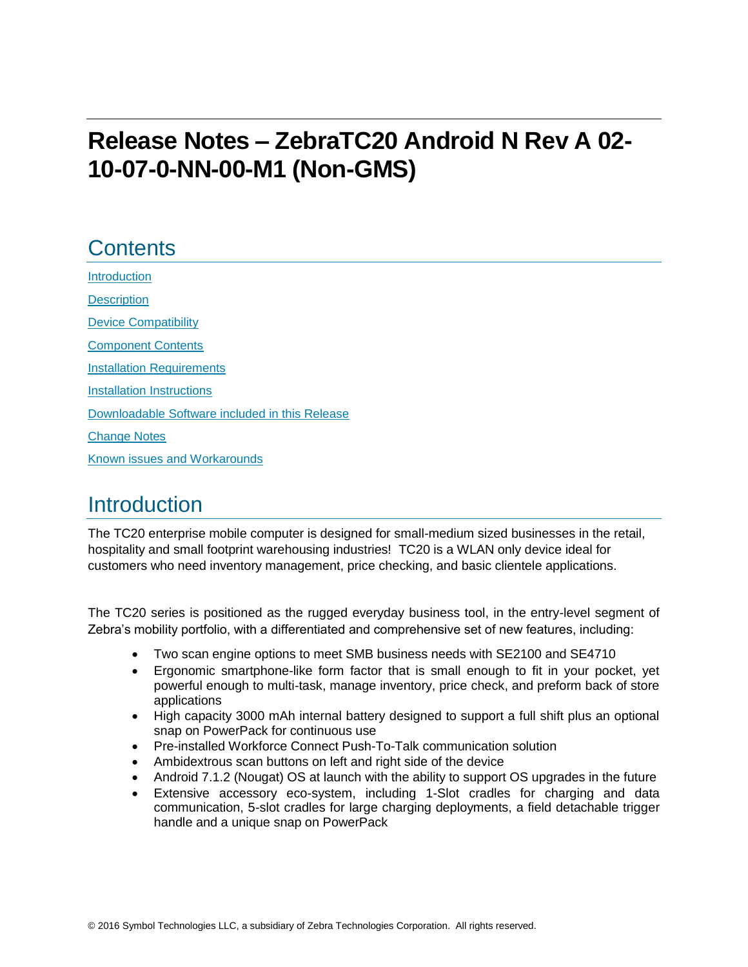# **Release Notes – ZebraTC20 Android N Rev A 02- 10-07-0-NN-00-M1 (Non-GMS)**

# **Contents**

[Introduction](#page-0-0) **[Description](#page-0-0)** [Device Compatibility](#page-1-0) [Component Contents](#page-1-1) [Installation Requirements](#page-2-0) [Installation Instructions](#page-3-0) [Downloadable Software included in this Release](#page-5-0) [Change Notes](#page-6-0) Known [issues](#page-8-0) [and](#page-8-0) Workarounds

## <span id="page-0-0"></span>**Introduction**

The TC20 enterprise mobile computer is designed for small-medium sized businesses in the retail, hospitality and small footprint warehousing industries! TC20 is a WLAN only device ideal for customers who need inventory management, price checking, and basic clientele applications.

The TC20 series is positioned as the rugged everyday business tool, in the entry-level segment of Zebra's mobility portfolio, with a differentiated and comprehensive set of new features, including:

- Two scan engine options to meet SMB business needs with SE2100 and SE4710
- Ergonomic smartphone-like form factor that is small enough to fit in your pocket, yet powerful enough to multi-task, manage inventory, price check, and preform back of store applications
- High capacity 3000 mAh internal battery designed to support a full shift plus an optional snap on PowerPack for continuous use
- Pre-installed Workforce Connect Push-To-Talk communication solution
- Ambidextrous scan buttons on left and right side of the device
- Android 7.1.2 (Nougat) OS at launch with the ability to support OS upgrades in the future
- Extensive accessory eco-system, including 1-Slot cradles for charging and data communication, 5-slot cradles for large charging deployments, a field detachable trigger handle and a unique snap on PowerPack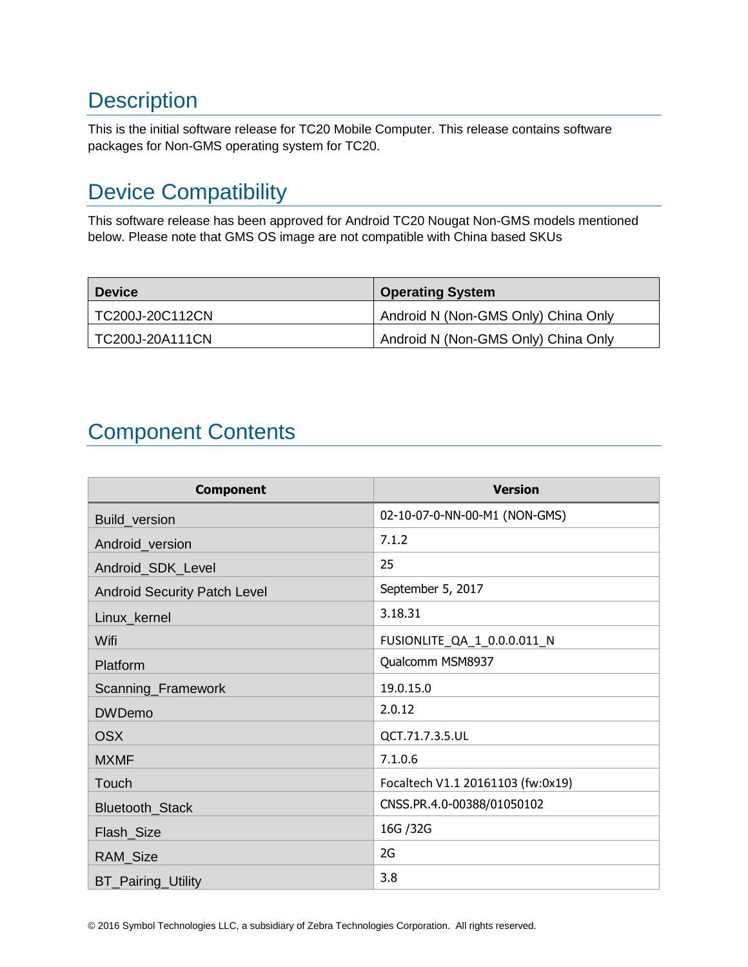# **Description**

This is the initial software release for TC20 Mobile Computer. This release contains software packages for Non-GMS operating system for TC20.

# <span id="page-1-0"></span>Device Compatibility

This software release has been approved for Android TC20 Nougat Non-GMS models mentioned below. Please note that GMS OS image are not compatible with China based SKUs

| <b>Device</b>   | <b>Operating System</b>             |
|-----------------|-------------------------------------|
| TC200J-20C112CN | Android N (Non-GMS Only) China Only |
| TC200J-20A111CN | Android N (Non-GMS Only) China Only |

# <span id="page-1-1"></span>Component Contents

| <b>Component</b>                    | <b>Version</b>                    |
|-------------------------------------|-----------------------------------|
| Build_version                       | 02-10-07-0-NN-00-M1 (NON-GMS)     |
| Android_version                     | 7.1.2                             |
| Android_SDK_Level                   | 25                                |
| <b>Android Security Patch Level</b> | September 5, 2017                 |
| Linux_kernel                        | 3.18.31                           |
| Wifi                                | FUSIONLITE_QA_1_0.0.0.011_N       |
| Platform                            | Qualcomm MSM8937                  |
| Scanning_Framework                  | 19.0.15.0                         |
| <b>DWDemo</b>                       | 2.0.12                            |
| <b>OSX</b>                          | QCT.71.7.3.5.UL                   |
| <b>MXMF</b>                         | 7.1.0.6                           |
| Touch                               | Focaltech V1.1 20161103 (fw:0x19) |
| Bluetooth_Stack                     | CNSS.PR.4.0-00388/01050102        |
| Flash_Size                          | 16G / 32G                         |
| RAM_Size                            | 2G                                |
| BT_Pairing_Utility                  | 3.8                               |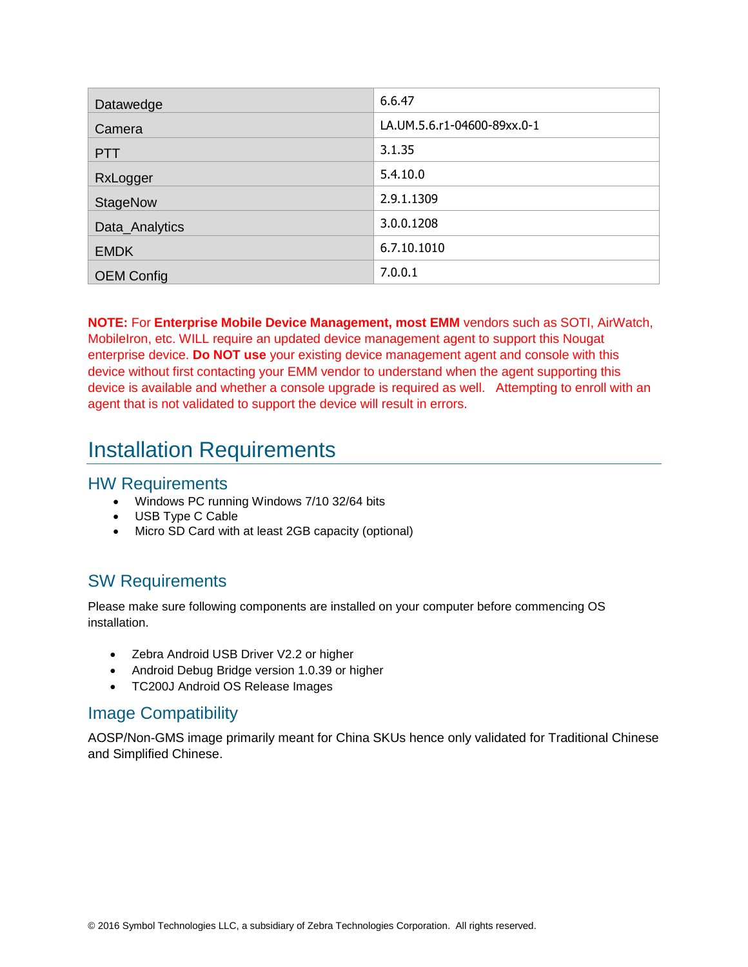| Datawedge         | 6.6.47                      |
|-------------------|-----------------------------|
| Camera            | LA.UM.5.6.r1-04600-89xx.0-1 |
| <b>PTT</b>        | 3.1.35                      |
| RxLogger          | 5.4.10.0                    |
| <b>StageNow</b>   | 2.9.1.1309                  |
| Data_Analytics    | 3.0.0.1208                  |
| <b>EMDK</b>       | 6.7.10.1010                 |
| <b>OEM Config</b> | 7.0.0.1                     |

**NOTE:** For **Enterprise Mobile Device Management, most EMM** vendors such as SOTI, AirWatch, MobileIron, etc. WILL require an updated device management agent to support this Nougat enterprise device. **Do NOT use** your existing device management agent and console with this device without first contacting your EMM vendor to understand when the agent supporting this device is available and whether a console upgrade is required as well. Attempting to enroll with an agent that is not validated to support the device will result in errors.

### <span id="page-2-0"></span>Installation Requirements

#### HW Requirements

- Windows PC running Windows 7/10 32/64 bits
- USB Type C Cable
- Micro SD Card with at least 2GB capacity (optional)

### SW Requirements

Please make sure following components are installed on your computer before commencing OS installation.

- Zebra Android USB Driver V2.2 or higher
- Android Debug Bridge version 1.0.39 or higher
- TC200J Android OS Release Images

### Image Compatibility

AOSP/Non-GMS image primarily meant for China SKUs hence only validated for Traditional Chinese and Simplified Chinese.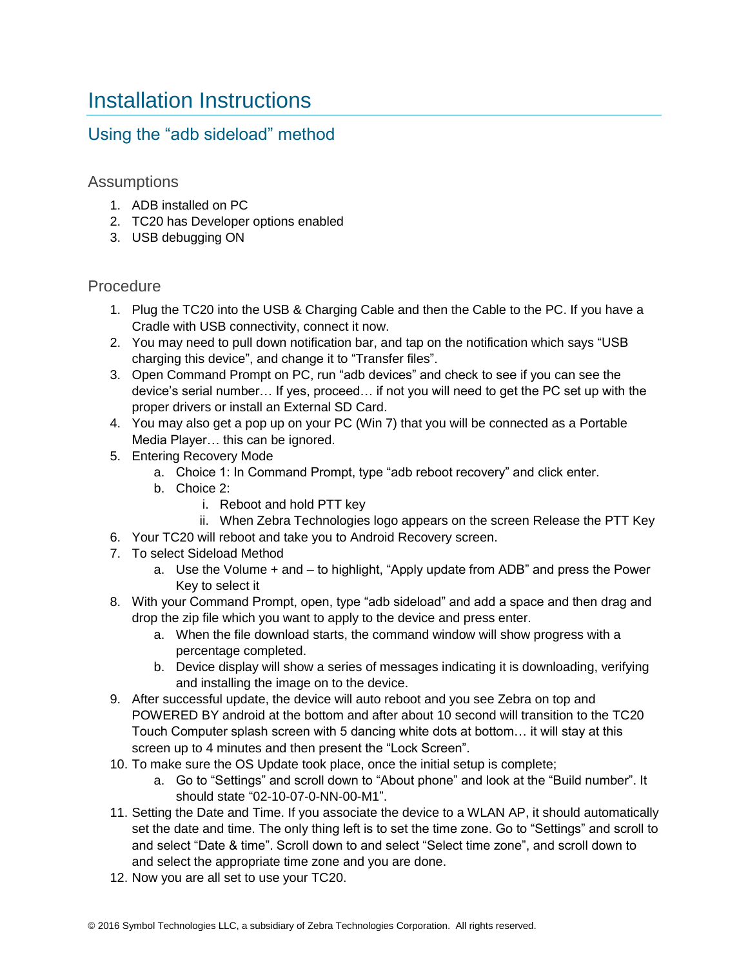## <span id="page-3-0"></span>Installation Instructions

### Using the "adb sideload" method

#### Assumptions

- 1. ADB installed on PC
- 2. TC20 has Developer options enabled
- 3. USB debugging ON

#### Procedure

- 1. Plug the TC20 into the USB & Charging Cable and then the Cable to the PC. If you have a Cradle with USB connectivity, connect it now.
- 2. You may need to pull down notification bar, and tap on the notification which says "USB charging this device", and change it to "Transfer files".
- 3. Open Command Prompt on PC, run "adb devices" and check to see if you can see the device's serial number… If yes, proceed… if not you will need to get the PC set up with the proper drivers or install an External SD Card.
- 4. You may also get a pop up on your PC (Win 7) that you will be connected as a Portable Media Player… this can be ignored.
- 5. Entering Recovery Mode
	- a. Choice 1: In Command Prompt, type "adb reboot recovery" and click enter.
	- b. Choice 2:
		- i. Reboot and hold PTT key
	- ii. When Zebra Technologies logo appears on the screen Release the PTT Key
- 6. Your TC20 will reboot and take you to Android Recovery screen.
- 7. To select Sideload Method
	- a. Use the Volume + and to highlight, "Apply update from ADB" and press the Power Key to select it
- 8. With your Command Prompt, open, type "adb sideload" and add a space and then drag and drop the zip file which you want to apply to the device and press enter.
	- a. When the file download starts, the command window will show progress with a percentage completed.
	- b. Device display will show a series of messages indicating it is downloading, verifying and installing the image on to the device.
- 9. After successful update, the device will auto reboot and you see Zebra on top and POWERED BY android at the bottom and after about 10 second will transition to the TC20 Touch Computer splash screen with 5 dancing white dots at bottom… it will stay at this screen up to 4 minutes and then present the "Lock Screen".
- 10. To make sure the OS Update took place, once the initial setup is complete;
	- a. Go to "Settings" and scroll down to "About phone" and look at the "Build number". It should state "02-10-07-0-NN-00-M1".
- 11. Setting the Date and Time. If you associate the device to a WLAN AP, it should automatically set the date and time. The only thing left is to set the time zone. Go to "Settings" and scroll to and select "Date & time". Scroll down to and select "Select time zone", and scroll down to and select the appropriate time zone and you are done.
- 12. Now you are all set to use your TC20.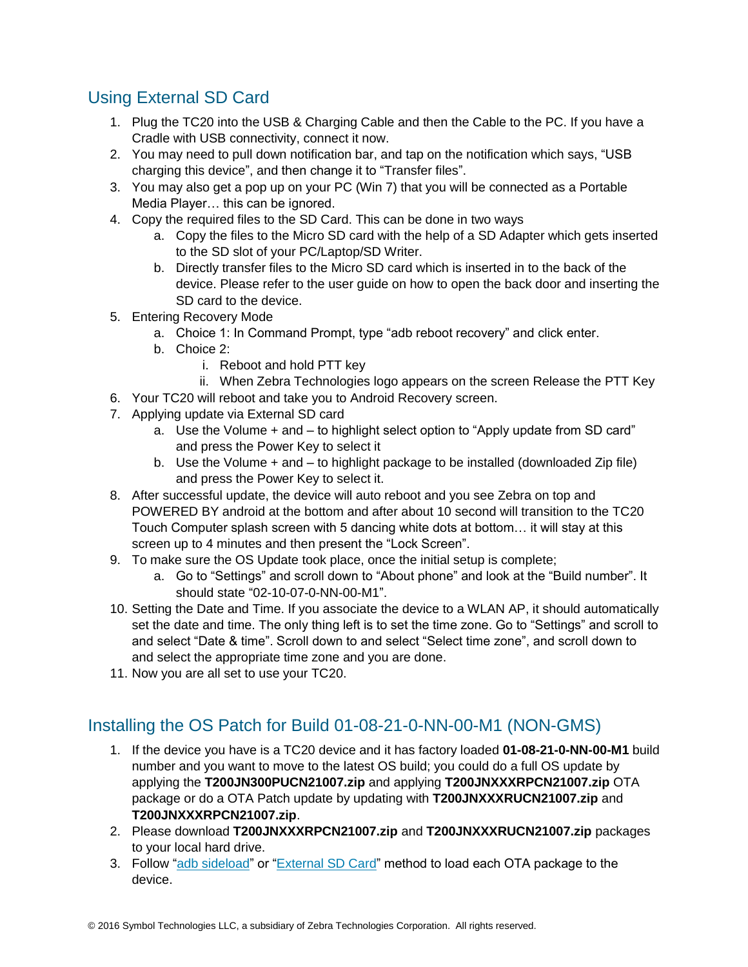### Using External SD Card

- 1. Plug the TC20 into the USB & Charging Cable and then the Cable to the PC. If you have a Cradle with USB connectivity, connect it now.
- 2. You may need to pull down notification bar, and tap on the notification which says, "USB charging this device", and then change it to "Transfer files".
- 3. You may also get a pop up on your PC (Win 7) that you will be connected as a Portable Media Player… this can be ignored.
- 4. Copy the required files to the SD Card. This can be done in two ways
	- a. Copy the files to the Micro SD card with the help of a SD Adapter which gets inserted to the SD slot of your PC/Laptop/SD Writer.
	- b. Directly transfer files to the Micro SD card which is inserted in to the back of the device. Please refer to the user guide on how to open the back door and inserting the SD card to the device.
- 5. Entering Recovery Mode
	- a. Choice 1: In Command Prompt, type "adb reboot recovery" and click enter.
	- b. Choice 2:
		- i. Reboot and hold PTT key
- ii. When Zebra Technologies logo appears on the screen Release the PTT Key
- 6. Your TC20 will reboot and take you to Android Recovery screen.
- 7. Applying update via External SD card
	- a. Use the Volume + and to highlight select option to "Apply update from SD card" and press the Power Key to select it
	- b. Use the Volume + and to highlight package to be installed (downloaded Zip file) and press the Power Key to select it.
- 8. After successful update, the device will auto reboot and you see Zebra on top and POWERED BY android at the bottom and after about 10 second will transition to the TC20 Touch Computer splash screen with 5 dancing white dots at bottom… it will stay at this screen up to 4 minutes and then present the "Lock Screen".
- 9. To make sure the OS Update took place, once the initial setup is complete;
	- a. Go to "Settings" and scroll down to "About phone" and look at the "Build number". It should state "02-10-07-0-NN-00-M1".
- 10. Setting the Date and Time. If you associate the device to a WLAN AP, it should automatically set the date and time. The only thing left is to set the time zone. Go to "Settings" and scroll to and select "Date & time". Scroll down to and select "Select time zone", and scroll down to and select the appropriate time zone and you are done.
- 11. Now you are all set to use your TC20.

### Installing the OS Patch for Build 01-08-21-0-NN-00-M1 (NON-GMS)

- 1. If the device you have is a TC20 device and it has factory loaded **01-08-21-0-NN-00-M1** build number and you want to move to the latest OS build; you could do a full OS update by applying the **T200JN300PUCN21007.zip** and applying **T200JNXXXRPCN21007.zip** OTA package or do a OTA Patch update by updating with **T200JNXXXRUCN21007.zip** and **T200JNXXXRPCN21007.zip**.
- 2. Please download **T200JNXXXRPCN21007.zip** and **T200JNXXXRUCN21007.zip** packages to your local hard drive.
- 3. Follow "adb sideload" or "External SD Card" method to load each OTA package to the device.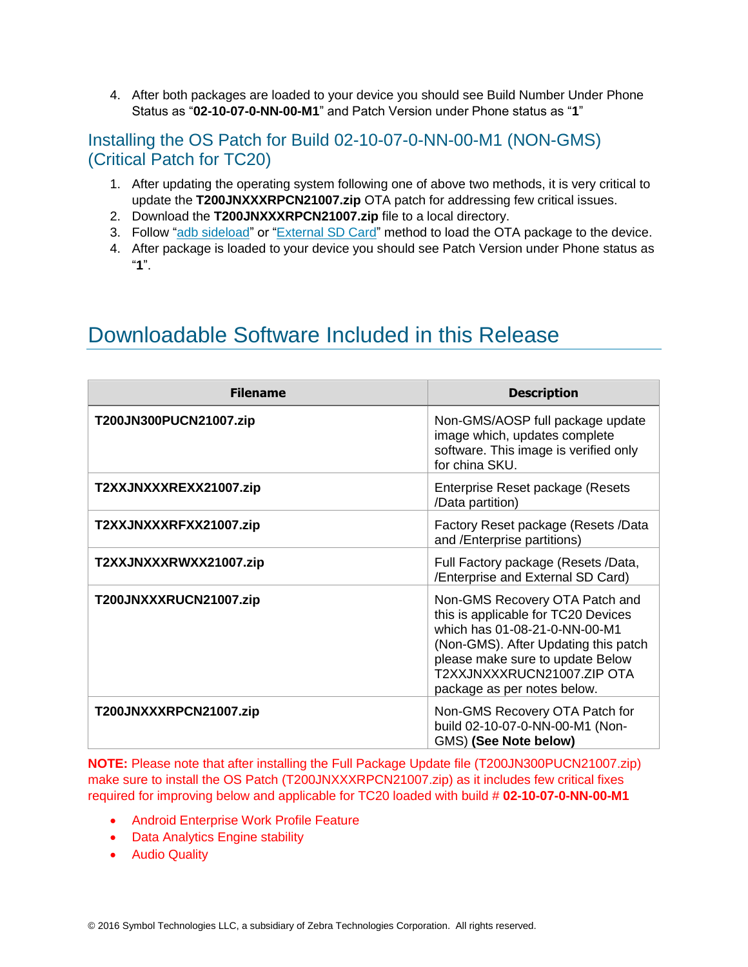4. After both packages are loaded to your device you should see Build Number Under Phone Status as "**02-10-07-0-NN-00-M1**" and Patch Version under Phone status as "**1**"

### Installing the OS Patch for Build 02-10-07-0-NN-00-M1 (NON-GMS) (Critical Patch for TC20)

- 1. After updating the operating system following one of above two methods, it is very critical to update the **T200JNXXXRPCN21007.zip** OTA patch for addressing few critical issues.
- 2. Download the **T200JNXXXRPCN21007.zip** file to a local directory.
- 3. Follow "adb sideload" or "External SD Card" method to load the OTA package to the device.
- 4. After package is loaded to your device you should see Patch Version under Phone status as "**1**".

### <span id="page-5-0"></span>Downloadable Software Included in this Release

| <b>Filename</b>        | <b>Description</b>                                                                                                                                                                                                                              |
|------------------------|-------------------------------------------------------------------------------------------------------------------------------------------------------------------------------------------------------------------------------------------------|
| T200JN300PUCN21007.zip | Non-GMS/AOSP full package update<br>image which, updates complete<br>software. This image is verified only<br>for china SKU.                                                                                                                    |
| T2XXJNXXXREXX21007.zip | Enterprise Reset package (Resets<br>/Data partition)                                                                                                                                                                                            |
| T2XXJNXXXRFXX21007.zip | Factory Reset package (Resets /Data<br>and /Enterprise partitions)                                                                                                                                                                              |
| T2XXJNXXXRWXX21007.zip | Full Factory package (Resets /Data,<br>/Enterprise and External SD Card)                                                                                                                                                                        |
| T200JNXXXRUCN21007.zip | Non-GMS Recovery OTA Patch and<br>this is applicable for TC20 Devices<br>which has 01-08-21-0-NN-00-M1<br>(Non-GMS). After Updating this patch<br>please make sure to update Below<br>T2XXJNXXXRUCN21007.ZIP OTA<br>package as per notes below. |
| T200JNXXXRPCN21007.zip | Non-GMS Recovery OTA Patch for<br>build 02-10-07-0-NN-00-M1 (Non-<br>GMS) (See Note below)                                                                                                                                                      |

**NOTE:** Please note that after installing the Full Package Update file (T200JN300PUCN21007.zip) make sure to install the OS Patch (T200JNXXXRPCN21007.zip) as it includes few critical fixes required for improving below and applicable for TC20 loaded with build # **02-10-07-0-NN-00-M1**

- Android Enterprise Work Profile Feature
- Data Analytics Engine stability
- **•** Audio Quality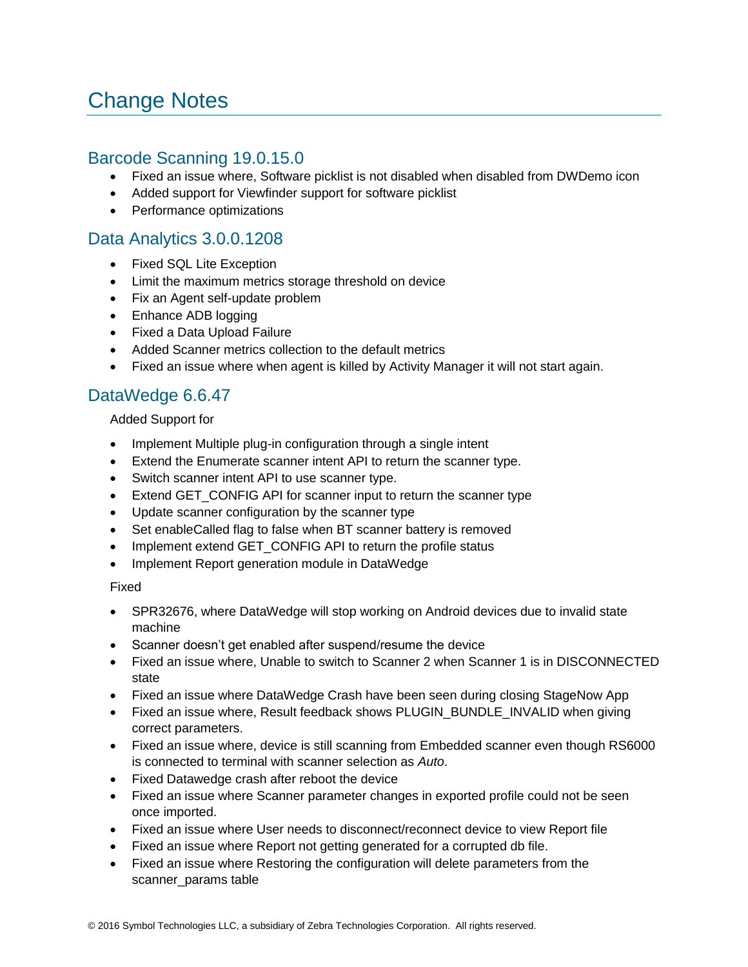## <span id="page-6-0"></span>Change Notes

#### Barcode Scanning 19.0.15.0

- Fixed an issue where, Software picklist is not disabled when disabled from DWDemo icon
- Added support for Viewfinder support for software picklist
- Performance optimizations

### Data Analytics 3.0.0.1208

- Fixed SQL Lite Exception
- Limit the maximum metrics storage threshold on device
- Fix an Agent self-update problem
- Enhance ADB logging
- Fixed a Data Upload Failure
- Added Scanner metrics collection to the default metrics
- Fixed an issue where when agent is killed by Activity Manager it will not start again.

### DataWedge 6.6.47

#### Added Support for

- Implement Multiple plug-in configuration through a single intent
- Extend the Enumerate scanner intent API to return the scanner type.
- Switch scanner intent API to use scanner type.
- Extend GET\_CONFIG API for scanner input to return the scanner type
- Update scanner configuration by the scanner type
- Set enableCalled flag to false when BT scanner battery is removed
- Implement extend GET\_CONFIG API to return the profile status
- Implement Report generation module in DataWedge

#### Fixed

- SPR32676, where DataWedge will stop working on Android devices due to invalid state machine
- Scanner doesn't get enabled after suspend/resume the device
- Fixed an issue where, Unable to switch to Scanner 2 when Scanner 1 is in DISCONNECTED state
- Fixed an issue where DataWedge Crash have been seen during closing StageNow App
- Fixed an issue where, Result feedback shows PLUGIN\_BUNDLE\_INVALID when giving correct parameters.
- Fixed an issue where, device is still scanning from Embedded scanner even though RS6000 is connected to terminal with scanner selection as *Auto*.
- Fixed Datawedge crash after reboot the device
- Fixed an issue where Scanner parameter changes in exported profile could not be seen once imported.
- Fixed an issue where User needs to disconnect/reconnect device to view Report file
- Fixed an issue where Report not getting generated for a corrupted db file.
- Fixed an issue where Restoring the configuration will delete parameters from the scanner\_params table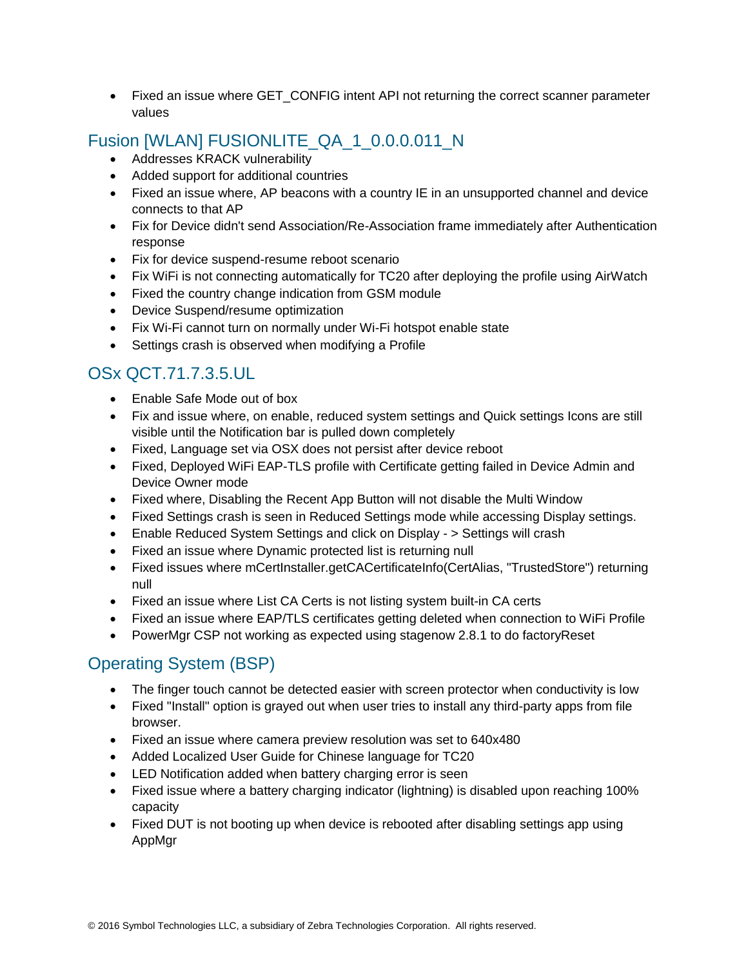• Fixed an issue where GET CONFIG intent API not returning the correct scanner parameter values

### Fusion [WLAN] FUSIONLITE\_QA\_1\_0.0.0.011\_N

- Addresses KRACK vulnerability
- Added support for additional countries
- Fixed an issue where, AP beacons with a country IE in an unsupported channel and device connects to that AP
- Fix for Device didn't send Association/Re-Association frame immediately after Authentication response
- Fix for device suspend-resume reboot scenario
- Fix WiFi is not connecting automatically for TC20 after deploying the profile using AirWatch
- Fixed the country change indication from GSM module
- Device Suspend/resume optimization
- Fix Wi-Fi cannot turn on normally under Wi-Fi hotspot enable state
- Settings crash is observed when modifying a Profile

### OSx QCT.71.7.3.5.UL

- Enable Safe Mode out of box
- Fix and issue where, on enable, reduced system settings and Quick settings Icons are still visible until the Notification bar is pulled down completely
- Fixed, Language set via OSX does not persist after device reboot
- Fixed, Deployed WiFi EAP-TLS profile with Certificate getting failed in Device Admin and Device Owner mode
- Fixed where, Disabling the Recent App Button will not disable the Multi Window
- Fixed Settings crash is seen in Reduced Settings mode while accessing Display settings.
- Enable Reduced System Settings and click on Display > Settings will crash
- Fixed an issue where Dynamic protected list is returning null
- Fixed issues where mCertInstaller.getCACertificateInfo(CertAlias, "TrustedStore") returning null
- Fixed an issue where List CA Certs is not listing system built-in CA certs
- Fixed an issue where EAP/TLS certificates getting deleted when connection to WiFi Profile
- PowerMgr CSP not working as expected using stagenow 2.8.1 to do factoryReset

### Operating System (BSP)

- The finger touch cannot be detected easier with screen protector when conductivity is low
- Fixed "Install" option is grayed out when user tries to install any third-party apps from file browser.
- Fixed an issue where camera preview resolution was set to 640x480
- Added Localized User Guide for Chinese language for TC20
- LED Notification added when battery charging error is seen
- Fixed issue where a battery charging indicator (lightning) is disabled upon reaching 100% capacity
- Fixed DUT is not booting up when device is rebooted after disabling settings app using AppMgr